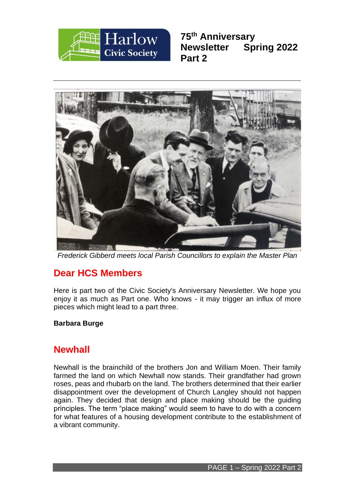

**75th Anniversary Newsletter Spring 2022 Part 2**



*Frederick Gibberd meets local Parish Councillors to explain the Master Plan*

# **Dear HCS Members**

Here is part two of the Civic Society's Anniversary Newsletter. We hope you enjoy it as much as Part one. Who knows - it may trigger an influx of more pieces which might lead to a part three.

# **Barbara Burge**

# **Newhall**

Newhall is the brainchild of the brothers Jon and William Moen. Their family farmed the land on which Newhall now stands. Their grandfather had grown roses, peas and rhubarb on the land. The brothers determined that their earlier disappointment over the development of Church Langley should not happen again. They decided that design and place making should be the guiding principles. The term "place making" would seem to have to do with a concern for what features of a housing development contribute to the establishment of a vibrant community.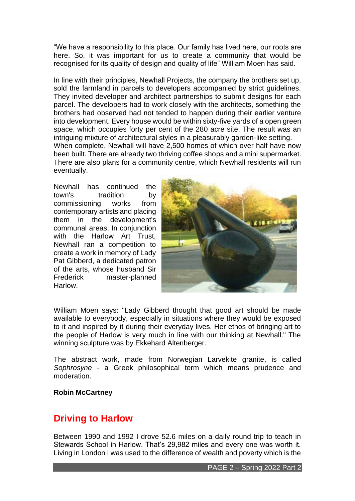"We have a responsibility to this place. Our family has lived here, our roots are here. So, it was important for us to create a community that would be recognised for its quality of design and quality of life" William Moen has said.

In line with their principles, Newhall Projects, the company the brothers set up, sold the farmland in parcels to developers accompanied by strict guidelines. They invited developer and architect partnerships to submit designs for each parcel. The developers had to work closely with the architects, something the brothers had observed had not tended to happen during their earlier venture into development. Every house would be within sixty-five yards of a open green space, which occupies forty per cent of the 280 acre site. The result was an intriguing mixture of architectural styles in a pleasurably garden-like setting. When complete, Newhall will have 2,500 homes of which over half have now been built. There are already two thriving coffee shops and a mini supermarket. There are also plans for a community centre, which Newhall residents will run eventually.

Newhall has continued the town's tradition by commissioning works from contemporary artists and placing them in the development's communal areas. In conjunction with the Harlow Art Trust. Newhall ran a competition to create a work in memory of Lady Pat Gibberd, a dedicated patron of the arts, whose husband Sir Frederick master-planned Harlow.



William Moen says: "Lady Gibberd thought that good art should be made available to everybody, especially in situations where they would be exposed to it and inspired by it during their everyday lives. Her ethos of bringing art to the people of Harlow is very much in line with our thinking at Newhall." The winning sculpture was by Ekkehard Altenberger.

The abstract work, made from Norwegian Larvekite granite, is called *Sophrosyne* - a Greek philosophical term which means prudence and moderation.

### **Robin McCartney**

# **Driving to Harlow**

Between 1990 and 1992 I drove 52.6 miles on a daily round trip to teach in Stewards School in Harlow. That's 29,982 miles and every one was worth it. Living in London I was used to the difference of wealth and poverty which is the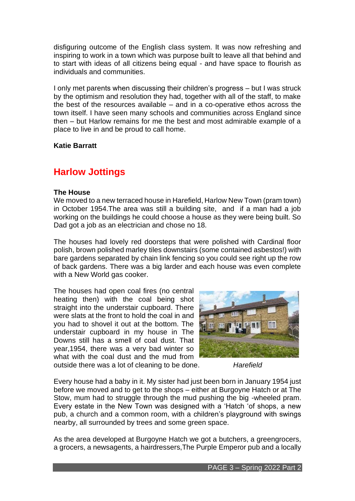disfiguring outcome of the English class system. It was now refreshing and inspiring to work in a town which was purpose built to leave all that behind and to start with ideas of all citizens being equal - and have space to flourish as individuals and communities.

I only met parents when discussing their children's progress – but I was struck by the optimism and resolution they had, together with all of the staff, to make the best of the resources available – and in a co-operative ethos across the town itself. I have seen many schools and communities across England since then – but Harlow remains for me the best and most admirable example of a place to live in and be proud to call home.

### **Katie Barratt**

# **Harlow Jottings**

#### **The House**

We moved to a new terraced house in Harefield, Harlow New Town (pram town) in October 1954.The area was still a building site, and if a man had a job working on the buildings he could choose a house as they were being built. So Dad got a job as an electrician and chose no 18.

The houses had lovely red doorsteps that were polished with Cardinal floor polish, brown polished marley tiles downstairs (some contained asbestos!) with bare gardens separated by chain link fencing so you could see right up the row of back gardens. There was a big larder and each house was even complete with a New World gas cooker.

The houses had open coal fires (no central heating then) with the coal being shot straight into the understair cupboard. There were slats at the front to hold the coal in and you had to shovel it out at the bottom. The understair cupboard in my house in The Downs still has a smell of coal dust. That year,1954, there was a very bad winter so what with the coal dust and the mud from



outside there was a lot of cleaning to be done. *Harefield*

Every house had a baby in it. My sister had just been born in January 1954 just before we moved and to get to the shops – either at Burgoyne Hatch or at The Stow, mum had to struggle through the mud pushing the big -wheeled pram. Every estate in the New Town was designed with a 'Hatch 'of shops, a new pub, a church and a common room, with a children's playground with swings nearby, all surrounded by trees and some green space.

As the area developed at Burgoyne Hatch we got a butchers, a greengrocers, a grocers, a newsagents, a hairdressers,The Purple Emperor pub and a locally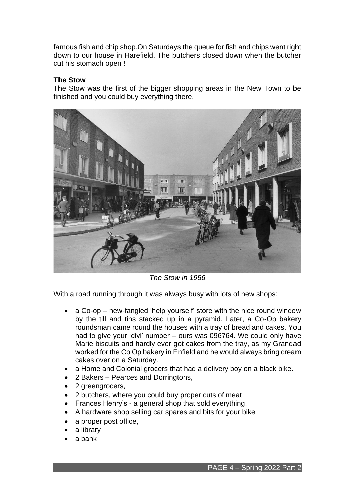famous fish and chip shop.On Saturdays the queue for fish and chips went right down to our house in Harefield. The butchers closed down when the butcher cut his stomach open !

# **The Stow**

The Stow was the first of the bigger shopping areas in the New Town to be finished and you could buy everything there.



*The Stow in 1956*

With a road running through it was always busy with lots of new shops:

- a Co-op new-fangled 'help yourself' store with the nice round window by the till and tins stacked up in a pyramid. Later, a Co-Op bakery roundsman came round the houses with a tray of bread and cakes. You had to give your 'divi' number – ours was 096764. We could only have Marie biscuits and hardly ever got cakes from the tray, as my Grandad worked for the Co Op bakery in Enfield and he would always bring cream cakes over on a Saturday.
- a Home and Colonial grocers that had a delivery boy on a black bike.
- 2 Bakers Pearces and Dorringtons,
- 2 greengrocers,
- 2 butchers, where you could buy proper cuts of meat
- Frances Henry's a general shop that sold everything,
- A hardware shop selling car spares and bits for your bike
- a proper post office,
- a library
- a bank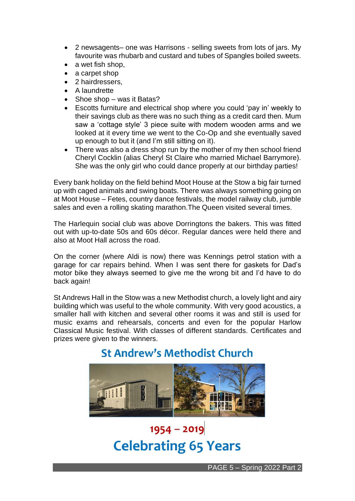- 2 newsagents– one was Harrisons selling sweets from lots of jars. My favourite was rhubarb and custard and tubes of Spangles boiled sweets.
- a wet fish shop,
- a carpet shop
- 2 hairdressers,
- A laundrette
- Shoe shop was it Batas?
- Escotts furniture and electrical shop where you could 'pay in' weekly to their savings club as there was no such thing as a credit card then. Mum saw a 'cottage style' 3 piece suite with modern wooden arms and we looked at it every time we went to the Co-Op and she eventually saved up enough to but it (and I'm still sitting on it).
- There was also a dress shop run by the mother of my then school friend Cheryl Cocklin (alias Cheryl St Claire who married Michael Barrymore). She was the only girl who could dance properly at our birthday parties!

Every bank holiday on the field behind Moot House at the Stow a big fair turned up with caged animals and swing boats. There was always something going on at Moot House – Fetes, country dance festivals, the model railway club, jumble sales and even a rolling skating marathon.The Queen visited several times.

The Harlequin social club was above Dorringtons the bakers. This was fitted out with up-to-date 50s and 60s décor. Regular dances were held there and also at Moot Hall across the road.

On the corner (where Aldi is now) there was Kennings petrol station with a garage for car repairs behind. When I was sent there for gaskets for Dad's motor bike they always seemed to give me the wrong bit and I'd have to do back again!

St Andrews Hall in the Stow was a new Methodist church, a lovely light and airy building which was useful to the whole community. With very good acoustics, a smaller hall with kitchen and several other rooms it was and still is used for music exams and rehearsals, concerts and even for the popular Harlow Classical Music festival. With classes of different standards. Certificates and prizes were given to the winners.



# **St Andrew's Methodist Church**

# $1954 - 2019$ **Celebrating 65 Years**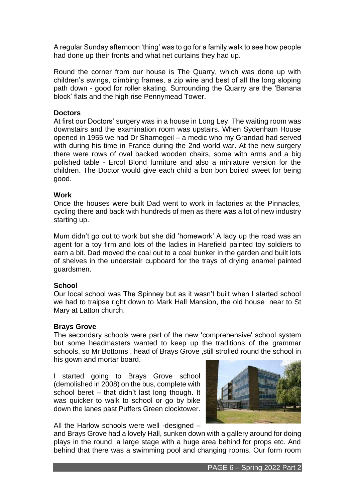A regular Sunday afternoon 'thing' was to go for a family walk to see how people had done up their fronts and what net curtains they had up.

Round the corner from our house is The Quarry, which was done up with children's swings, climbing frames, a zip wire and best of all the long sloping path down - good for roller skating. Surrounding the Quarry are the 'Banana block' flats and the high rise Pennymead Tower.

### **Doctors**

At first our Doctors' surgery was in a house in Long Ley. The waiting room was downstairs and the examination room was upstairs. When Sydenham House opened in 1955 we had Dr Sharnegeil – a medic who my Grandad had served with during his time in France during the 2nd world war. At the new surgery there were rows of oval backed wooden chairs, some with arms and a big polished table - Ercol Blond furniture and also a miniature version for the children. The Doctor would give each child a bon bon boiled sweet for being good.

### **Work**

Once the houses were built Dad went to work in factories at the Pinnacles, cycling there and back with hundreds of men as there was a lot of new industry starting up.

Mum didn't go out to work but she did 'homework' A lady up the road was an agent for a toy firm and lots of the ladies in Harefield painted toy soldiers to earn a bit. Dad moved the coal out to a coal bunker in the garden and built lots of shelves in the understair cupboard for the trays of drying enamel painted guardsmen.

### **School**

Our local school was The Spinney but as it wasn't built when I started school we had to traipse right down to Mark Hall Mansion, the old house near to St Mary at Latton church.

#### **Brays Grove**

The secondary schools were part of the new 'comprehensive' school system but some headmasters wanted to keep up the traditions of the grammar schools, so Mr Bottoms , head of Brays Grove ,still strolled round the school in his gown and mortar board.

I started going to Brays Grove school (demolished in 2008) on the bus, complete with school beret – that didn't last long though. It was quicker to walk to school or go by bike down the lanes past Puffers Green clocktower.



All the Harlow schools were well -designed –

and Brays Grove had a lovely Hall, sunken down with a gallery around for doing plays in the round, a large stage with a huge area behind for props etc. And behind that there was a swimming pool and changing rooms. Our form room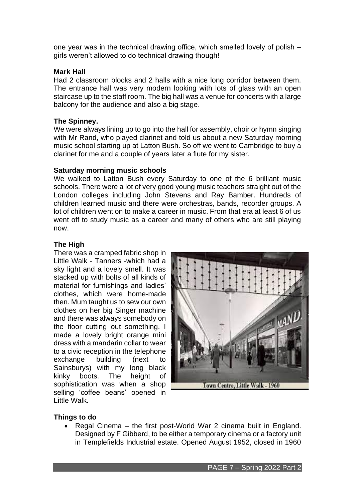one year was in the technical drawing office, which smelled lovely of polish – girls weren't allowed to do technical drawing though!

# **Mark Hall**

Had 2 classroom blocks and 2 halls with a nice long corridor between them. The entrance hall was very modern looking with lots of glass with an open staircase up to the staff room. The big hall was a venue for concerts with a large balcony for the audience and also a big stage.

# **The Spinney.**

We were always lining up to go into the hall for assembly, choir or hymn singing with Mr Rand, who played clarinet and told us about a new Saturday morning music school starting up at Latton Bush. So off we went to Cambridge to buy a clarinet for me and a couple of years later a flute for my sister.

# **Saturday morning music schools**

We walked to Latton Bush every Saturday to one of the 6 brilliant music schools. There were a lot of very good young music teachers straight out of the London colleges including John Stevens and Ray Bamber. Hundreds of children learned music and there were orchestras, bands, recorder groups. A lot of children went on to make a career in music. From that era at least 6 of us went off to study music as a career and many of others who are still playing now.

# **The High**

There was a cramped fabric shop in Little Walk - Tanners -which had a sky light and a lovely smell. It was stacked up with bolts of all kinds of material for furnishings and ladies' clothes, which were home-made then. Mum taught us to sew our own clothes on her big Singer machine and there was always somebody on the floor cutting out something. I made a lovely bright orange mini dress with a mandarin collar to wear to a civic reception in the telephone exchange building (next to Sainsburys) with my long black kinky boots. The height of sophistication was when a shop selling 'coffee beans' opened in Little Walk.



# **Things to do**

• Regal Cinema – the first post-World War 2 cinema built in England. Designed by F Gibberd, to be either a temporary cinema or a factory unit in Templefields Industrial estate. Opened August 1952, closed in 1960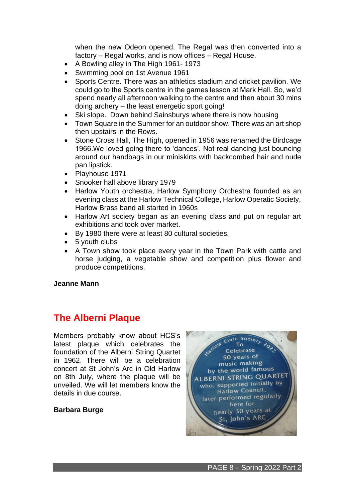when the new Odeon opened. The Regal was then converted into a factory – Regal works, and is now offices – Regal House.

- A Bowling alley in The High 1961- 1973
- Swimming pool on 1st Avenue 1961
- Sports Centre. There was an athletics stadium and cricket pavilion. We could go to the Sports centre in the games lesson at Mark Hall. So, we'd spend nearly all afternoon walking to the centre and then about 30 mins doing archery – the least energetic sport going!
- Ski slope. Down behind Sainsburys where there is now housing
- Town Square in the Summer for an outdoor show. There was an art shop then upstairs in the Rows.
- Stone Cross Hall, The High, opened in 1956 was renamed the Birdcage 1966.We loved going there to 'dances'. Not real dancing just bouncing around our handbags in our miniskirts with backcombed hair and nude pan lipstick.
- Playhouse 1971
- Snooker hall above library 1979
- Harlow Youth orchestra, Harlow Symphony Orchestra founded as an evening class at the Harlow Technical College, Harlow Operatic Society, Harlow Brass band all started in 1960s
- Harlow Art society began as an evening class and put on regular art exhibitions and took over market.
- By 1980 there were at least 80 cultural societies.
- 5 youth clubs
- A Town show took place every year in the Town Park with cattle and horse judging, a vegetable show and competition plus flower and produce competitions.

#### **Jeanne Mann**

# **The Alberni Plaque**

Members probably know about HCS's latest plaque which celebrates the foundation of the Alberni String Quartet in 1962. There will be a celebration concert at St John's Arc in Old Harlow on 8th July, where the plaque will be unveiled. We will let members know the details in due course.

### **Barbara Burge**

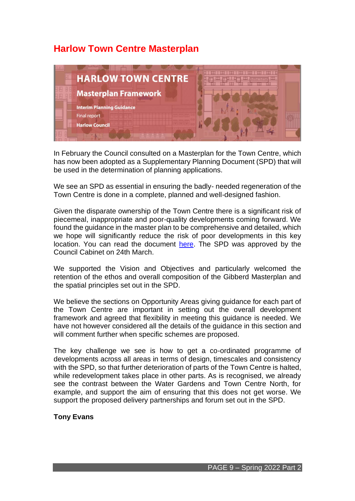# **Harlow Town Centre Masterplan**



In February the Council consulted on a Masterplan for the Town Centre, which has now been adopted as a Supplementary Planning Document (SPD) that will be used in the determination of planning applications.

We see an SPD as essential in ensuring the badly- needed regeneration of the Town Centre is done in a complete, planned and well-designed fashion.

Given the disparate ownership of the Town Centre there is a significant risk of piecemeal, inappropriate and poor-quality developments coming forward. We found the guidance in the master plan to be comprehensive and detailed, which we hope will significantly reduce the risk of poor developments in this key location. You can read the document [here.](https://www.harlow.gov.uk/planning-and-building-control/planning-policy/harlow-local-development-plan/supplementary-planning) The SPD was approved by the Council Cabinet on 24th March.

We supported the Vision and Objectives and particularly welcomed the retention of the ethos and overall composition of the Gibberd Masterplan and the spatial principles set out in the SPD.

We believe the sections on Opportunity Areas giving guidance for each part of the Town Centre are important in setting out the overall development framework and agreed that flexibility in meeting this guidance is needed. We have not however considered all the details of the guidance in this section and will comment further when specific schemes are proposed.

The key challenge we see is how to get a co-ordinated programme of developments across all areas in terms of design, timescales and consistency with the SPD, so that further deterioration of parts of the Town Centre is halted, while redevelopment takes place in other parts. As is recognised, we already see the contrast between the Water Gardens and Town Centre North, for example, and support the aim of ensuring that this does not get worse. We support the proposed delivery partnerships and forum set out in the SPD.

### **Tony Evans**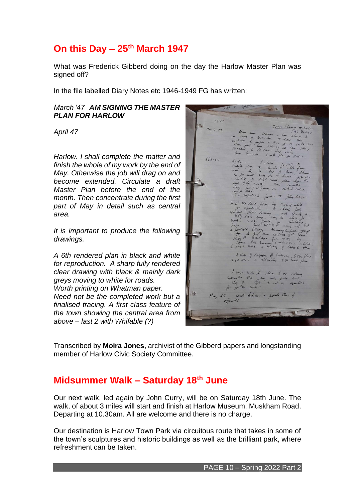# **On this Day – 25th March 1947**

What was Frederick Gibberd doing on the day the Harlow Master Plan was signed off?

In the file labelled Diary Notes etc 1946-1949 FG has written:

### *March '47 AM SIGNING THE MASTER PLAN FOR HARLOW*

*April 47* 

*Harlow. I shall complete the matter and finish the whole of my work by the end of May. Otherwise the job will drag on and become extended. Circulate a draft Master Plan before the end of the month. Then concentrate during the first part of May in detail such as central area.* 

*It is important to produce the following drawings.*

*A 6th rendered plan in black and white for reproduction. A sharp fully rendered clear drawing with black & mainly dark greys moving to white for roads. Worth printing on Whatman paper. Need not be the completed work but a* 

*finalised tracing. A first class feature of the town showing the central area from above – last 2 with Whifable (?)* 

treasy. Alle of deposes of the, toda fla I want when it clear to do

Transcribed by **Moira Jones**, archivist of the Gibberd papers and longstanding member of Harlow Civic Society Committee.

# **Midsummer Walk – Saturday 18th June**

Our next walk, led again by John Curry, will be on Saturday 18th June. The walk, of about 3 miles will start and finish at Harlow Museum, Muskham Road. Departing at 10.30am. All are welcome and there is no charge.

Our destination is Harlow Town Park via circuitous route that takes in some of the town's sculptures and historic buildings as well as the brilliant park, where refreshment can be taken.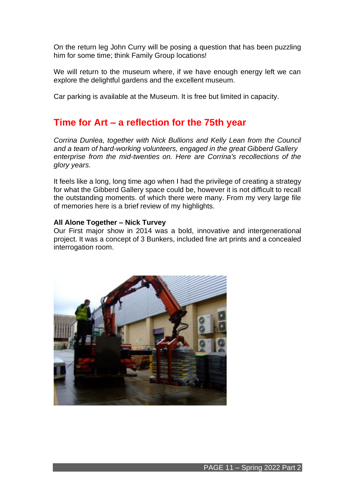On the return leg John Curry will be posing a question that has been puzzling him for some time; think Family Group locations!

We will return to the museum where, if we have enough energy left we can explore the delightful gardens and the excellent museum.

Car parking is available at the Museum. It is free but limited in capacity.

# **Time for Art – a reflection for the 75th year**

*Corrina Dunlea, together with Nick Bullions and Kelly Lean from the Council and a team of hard-working volunteers, engaged in the great Gibberd Gallery enterprise from the mid-twenties on. Here are Corrina's recollections of the glory years.*

It feels like a long, long time ago when I had the privilege of creating a strategy for what the Gibberd Gallery space could be, however it is not difficult to recall the outstanding moments. of which there were many. From my very large file of memories here is a brief review of my highlights.

### **All Alone Together – Nick Turvey**

Our First major show in 2014 was a bold, innovative and intergenerational project. It was a concept of 3 Bunkers, included fine art prints and a concealed interrogation room.

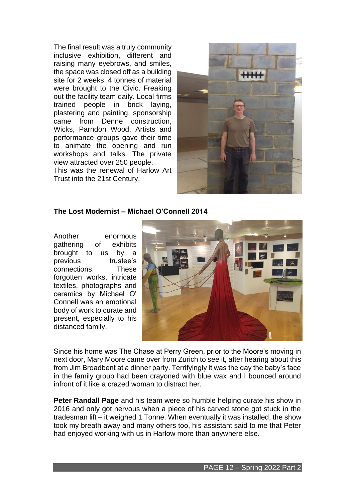The final result was a truly community inclusive exhibition, different and raising many eyebrows, and smiles, the space was closed off as a building site for 2 weeks. 4 tonnes of material were brought to the Civic. Freaking out the facility team daily. Local firms trained people in brick laying, plastering and painting, sponsorship came from Denne construction, Wicks, Parndon Wood. Artists and performance groups gave their time to animate the opening and run workshops and talks. The private view attracted over 250 people.

This was the renewal of Harlow Art Trust into the 21st Century.



# **The Lost Modernist – Michael O'Connell 2014**

Another enormous gathering of exhibits brought to us by a previous trustee's connections. These forgotten works, intricate textiles, photographs and ceramics by Michael O' Connell was an emotional body of work to curate and present, especially to his distanced family.



Since his home was The Chase at Perry Green, prior to the Moore's moving in next door, Mary Moore came over from Zurich to see it, after hearing about this from Jim Broadbent at a dinner party. Terrifyingly it was the day the baby's face in the family group had been crayoned with blue wax and I bounced around infront of it like a crazed woman to distract her.

**Peter Randall Page** and his team were so humble helping curate his show in 2016 and only got nervous when a piece of his carved stone got stuck in the tradesman lift – it weighed 1 Tonne. When eventually it was installed, the show took my breath away and many others too, his assistant said to me that Peter had enjoyed working with us in Harlow more than anywhere else.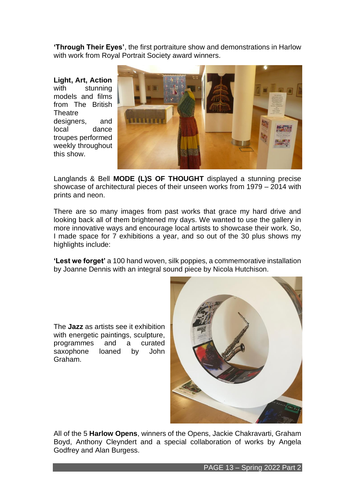**'Through Their Eyes'**, the first portraiture show and demonstrations in Harlow with work from Roval Portrait Society award winners.

**Light, Art, Action** with stunning models and films from The British **Theatre** designers, and local dance troupes performed weekly throughout this show.



Langlands & Bell **MODE (L)S OF THOUGHT** displayed a stunning precise showcase of architectural pieces of their unseen works from 1979 – 2014 with prints and neon.

There are so many images from past works that grace my hard drive and looking back all of them brightened my days. We wanted to use the gallery in more innovative ways and encourage local artists to showcase their work. So, I made space for 7 exhibitions a year, and so out of the 30 plus shows my highlights include:

**'Lest we forget'** a 100 hand woven, silk poppies, a commemorative installation by Joanne Dennis with an integral sound piece by Nicola Hutchison.

The **Jazz** as artists see it exhibition with energetic paintings, sculpture, programmes and a curated<br>saxophone loaned by John saxophone loaned by Graham.



All of the 5 **Harlow Opens**, winners of the Opens, Jackie Chakravarti, Graham Boyd, Anthony Cleyndert and a special collaboration of works by Angela Godfrey and Alan Burgess.